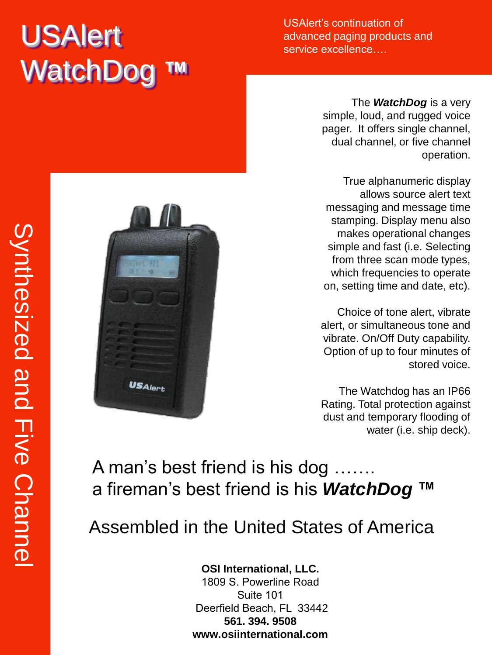# USAlert WatchDog

USAlert's continuation of advanced paging products and service excellence….

> The *WatchDog* is a very simple, loud, and rugged voice pager. It offers single channel, dual channel, or five channel operation.

True alphanumeric display allows source alert text messaging and message time stamping. Display menu also makes operational changes simple and fast (i.e. Selecting from three scan mode types, which frequencies to operate on, setting time and date, etc).

Choice of tone alert, vibrate alert, or simultaneous tone and vibrate. On/Off Duty capability. Option of up to four minutes of stored voice.

The Watchdog has an IP66 Rating. Total protection against dust and temporary flooding of water (i.e. ship deck).

### A man's best friend is his dog ……. a fireman's best friend is his *WatchDog* **™**

## Assembled in the United States of America

#### **OSI International, LLC.**

1809 S. Powerline Road Suite 101 Deerfield Beach, FL 33442 **561. 394. 9508 www.osiinternational.com**